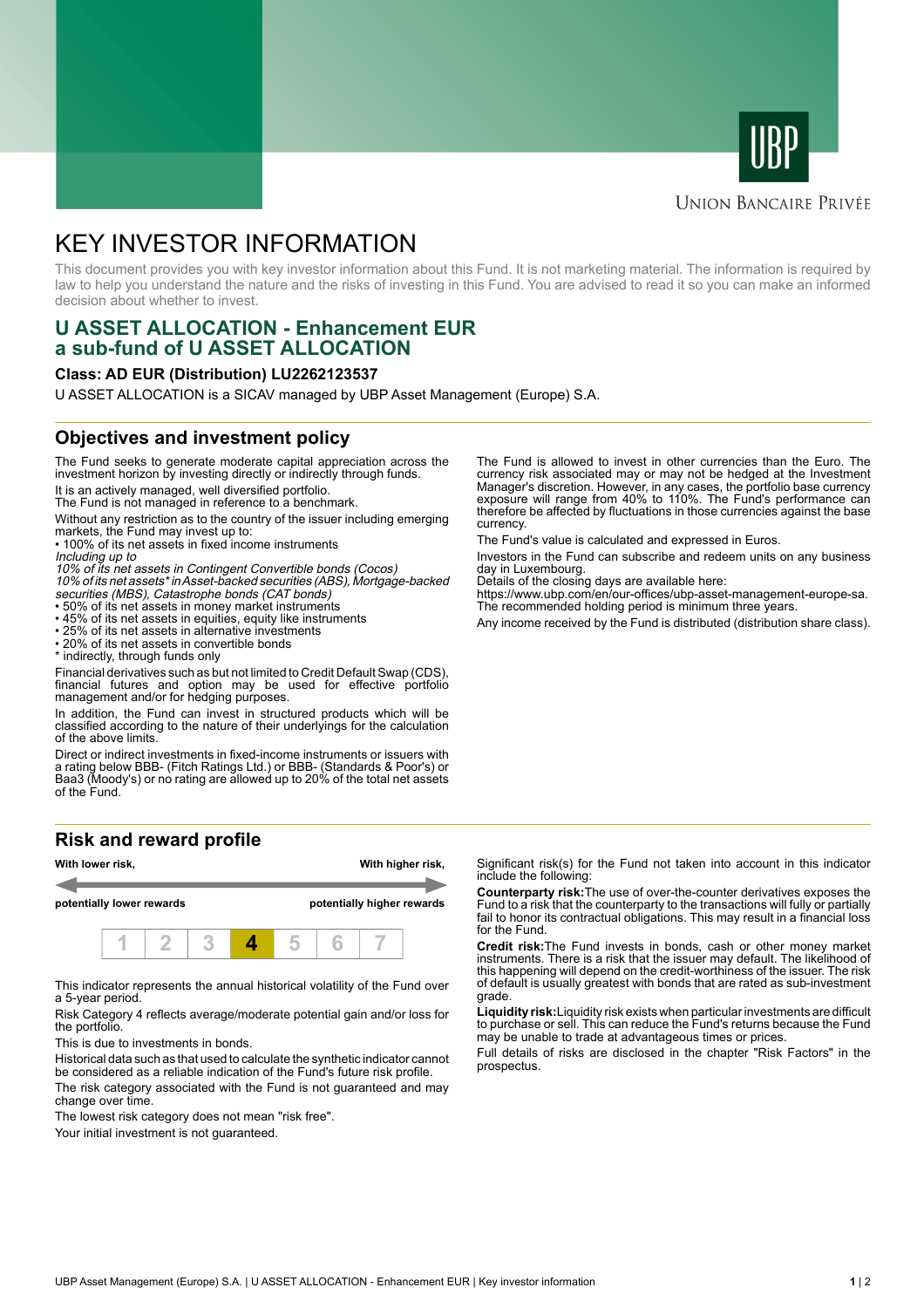



# **UNION BANCAIRE PRIVÉE**

# KEY INVESTOR INFORMATION

This document provides you with key investor information about this Fund. It is not marketing material. The information is required by law to help you understand the nature and the risks of investing in this Fund. You are advised to read it so you can make an informed decision about whether to invest.

# **U ASSET ALLOCATION - Enhancement EUR a sub-fund of U ASSET ALLOCATION**

#### **Class: AD EUR (Distribution) LU2262123537**

U ASSET ALLOCATION is a SICAV managed by UBP Asset Management (Europe) S.A.

### **Objectives and investment policy**

The Fund seeks to generate moderate capital appreciation across the investment horizon by investing directly or indirectly through funds.

It is an actively managed, well diversified portfolio. The Fund is not managed in reference to a benchmark.

Without any restriction as to the country of the issuer including emerging markets, the Fund may invest up to:

• 100% of its net assets in fixed income instruments Including up to

10% of its net assets in Contingent Convertible bonds (Cocos) 10% of its net assets\* in Asset-backed securities (ABS), Mortgage-backed

- securities (MBS), Catastrophe bonds (CAT bonds) 50% of its net assets in money market instruments
- 45% of its net assets in equities, equity like instruments
- 25% of its net assets in alternative investments

• 20% of its net assets in convertible bonds \* indirectly, through funds only

Financial derivatives such as but not limited to Credit Default Swap (CDS), financial futures and option may be used for effective portfolio management and/or for hedging purposes.

In addition, the Fund can invest in structured products which will be classified according to the nature of their underlyings for the calculation of the above limits.

Direct or indirect investments in fixed-income instruments or issuers with a rating below BBB- (Fitch Ratings Ltd.) or BBB- (Standards & Poor's) or Baa3 (Moody's) or no rating are allowed up to 20% of the total net assets of the Fund.

### **Risk and reward profile**



This indicator represents the annual historical volatility of the Fund over a 5-year period.

Risk Category 4 reflects average/moderate potential gain and/or loss for the portfolio.

This is due to investments in bonds.

Historical data such as that used to calculate the synthetic indicator cannot be considered as a reliable indication of the Fund's future risk profile.

The risk category associated with the Fund is not guaranteed and may change over time.

The lowest risk category does not mean "risk free".

Your initial investment is not guaranteed.

The Fund is allowed to invest in other currencies than the Euro. The currency risk associated may or may not be hedged at the Investment Manager's discretion. However, in any cases, the portfolio base currency exposure will range from 40% to 110%. The Fund's performance can therefore be affected by fluctuations in those currencies against the base currency.

The Fund's value is calculated and expressed in Euros.

Investors in the Fund can subscribe and redeem units on any business day in Luxembourg.

Details of the closing days are available here:

https://www.ubp.com/en/our-offices/ubp-asset-management-europe-sa. The recommended holding period is minimum three years.

Any income received by the Fund is distributed (distribution share class).

Significant risk(s) for the Fund not taken into account in this indicator include the following:

**Counterparty risk:**The use of over-the-counter derivatives exposes the Fund to a risk that the counterparty to the transactions will fully or partially fail to honor its contractual obligations. This may result in a financial loss for the Fund.

**Credit risk:**The Fund invests in bonds, cash or other money market instruments. There is a risk that the issuer may default. The likelihood of this happening will depend on the credit-worthiness of the issuer. The risk of default is usually greatest with bonds that are rated as sub-investment grade.

**Liquidity risk:**Liquidity risk exists when particular investments are difficult to purchase or sell. This can reduce the Fund's returns because the Fund may be unable to trade at advantageous times or prices.

Full details of risks are disclosed in the chapter "Risk Factors" in the prospectus.